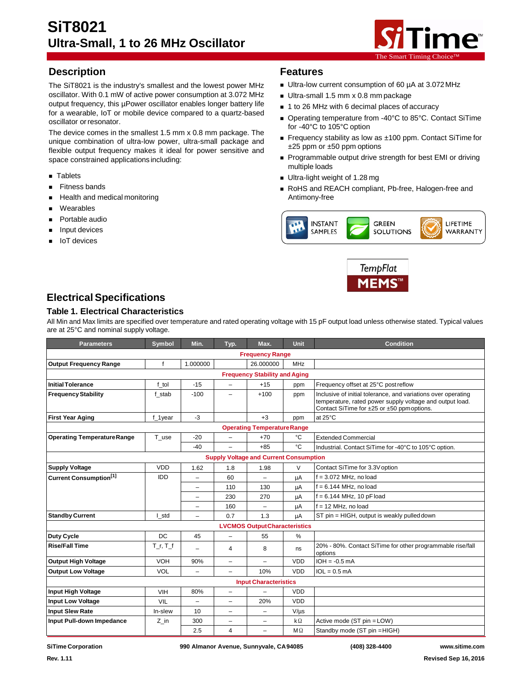

# **Description Features**

The SiT8021 is the industry's smallest and the lowest power MHz oscillator. With 0.1 mW of active power consumption at 3.072 MHz output frequency, this µPower oscillator enables longer battery life for a wearable, IoT or mobile device compared to a quartz-based oscillator orresonator.

The device comes in the smallest 1.5 mm x 0.8 mm package. The unique combination of ultra-low power, ultra-small package and flexible output frequency makes it ideal for power sensitive and space constrained applications including:

- **Tablets**
- Fitness bands
- **Health and medical monitoring**
- Wearables
- Portable audio
- Input devices
- IoT devices

- Ultra-low current consumption of 60 µA at 3.072 MHz
- Ultra-small 1.5 mm x 0.8 mm package
- 1 to 26 MHz with 6 decimal places of accuracy
- Operating temperature from -40°C to 85°C. Contact SiTime for -40°C to 105°C option
- Frequency stability as low as ±100 ppm. Contact SiTime for  $\pm 25$  ppm or  $\pm 50$  ppm options
- Programmable output drive strength for best EMI or driving multiple loads
- Ultra-light weight of 1.28 mg
- RoHS and REACH compliant, Pb-free, Halogen-free and Antimony-free





# **ElectricalSpecifications**

### **Table 1. Electrical Characteristics**

All Min and Max limits are specified over temperature and rated operating voltage with 15 pF output load unless otherwise stated. Typical values are at 25°C and nominal supply voltage.

| <b>Parameters</b>                             | <b>Symbol</b>                        | Min.                     | Typ.                     | Max.                                | <b>Unit</b> | <b>Condition</b>                                                                                                                                                        |  |
|-----------------------------------------------|--------------------------------------|--------------------------|--------------------------|-------------------------------------|-------------|-------------------------------------------------------------------------------------------------------------------------------------------------------------------------|--|
| <b>Frequency Range</b>                        |                                      |                          |                          |                                     |             |                                                                                                                                                                         |  |
| <b>Output Frequency Range</b>                 | f                                    | 1.000000                 |                          | 26.000000                           | <b>MHz</b>  |                                                                                                                                                                         |  |
|                                               | <b>Frequency Stability and Aging</b> |                          |                          |                                     |             |                                                                                                                                                                         |  |
| <b>Initial Tolerance</b>                      | f tol                                | $-15$                    | $\equiv$                 | $+15$                               | ppm         | Frequency offset at 25°C post reflow                                                                                                                                    |  |
| <b>Frequency Stability</b>                    | f stab                               | $-100$                   | -                        | $+100$                              | ppm         | Inclusive of initial tolerance, and variations over operating<br>temperature, rated power supply voltage and output load.<br>Contact SiTime for ±25 or ±50 ppm options. |  |
| <b>First Year Aging</b>                       | f_1year                              | $-3$                     |                          | $+3$                                | ppm         | at 25°C                                                                                                                                                                 |  |
|                                               |                                      |                          |                          | <b>Operating TemperatureRange</b>   |             |                                                                                                                                                                         |  |
| <b>Operating Temperature Range</b>            | T use                                | $-20$                    |                          | $+70$                               | °C          | <b>Extended Commercial</b>                                                                                                                                              |  |
|                                               |                                      | $-40$                    | L,                       | $+85$                               | °C          | Industrial. Contact SiTime for -40°C to 105°C option.                                                                                                                   |  |
| <b>Supply Voltage and Current Consumption</b> |                                      |                          |                          |                                     |             |                                                                                                                                                                         |  |
| <b>Supply Voltage</b>                         | VDD                                  | 1.62                     | 1.8                      | 1.98                                | V           | Contact SiTime for 3.3V option                                                                                                                                          |  |
| Current Consumption <sup>[1]</sup>            | IDD                                  |                          | 60                       |                                     | μA          | $f = 3.072$ MHz, no load                                                                                                                                                |  |
|                                               |                                      | $-$                      | 110                      | 130                                 | uA          | $f = 6.144$ MHz, no load                                                                                                                                                |  |
|                                               |                                      | $\overline{\phantom{0}}$ | 230                      | 270                                 | μA          | $f = 6.144$ MHz, 10 pFload                                                                                                                                              |  |
|                                               |                                      | $\overline{\phantom{0}}$ | 160                      | $\overline{\phantom{0}}$            | μA          | $f = 12$ MHz, no load                                                                                                                                                   |  |
| <b>Standby Current</b>                        | I std                                | $-$                      | 0.7                      | 1.3                                 | uA          | ST pin = HIGH, output is weakly pulled down                                                                                                                             |  |
|                                               |                                      |                          |                          | <b>LVCMOS OutputCharacteristics</b> |             |                                                                                                                                                                         |  |
| Duty Cycle                                    | <b>DC</b>                            | 45                       | L,                       | 55                                  | %           |                                                                                                                                                                         |  |
| <b>Rise/Fall Time</b>                         | $T_r, T_f$                           |                          | 4                        | 8                                   | ns          | 20% - 80%. Contact SiTime for other programmable rise/fall<br>options                                                                                                   |  |
| <b>Output High Voltage</b>                    | <b>VOH</b>                           | 90%                      | $\overline{\phantom{0}}$ | $\equiv$                            | <b>VDD</b>  | $IOH = -0.5mA$                                                                                                                                                          |  |
| <b>Output Low Voltage</b>                     | VOL                                  | -                        | $\overline{\phantom{0}}$ | 10%                                 | VDD         | $IOL = 0.5mA$                                                                                                                                                           |  |
| <b>Input Characteristics</b>                  |                                      |                          |                          |                                     |             |                                                                                                                                                                         |  |
| Input High Voltage                            | <b>VIH</b>                           | 80%                      | $\equiv$                 | $\equiv$                            | <b>VDD</b>  |                                                                                                                                                                         |  |
| <b>Input Low Voltage</b>                      | <b>VIL</b>                           | -                        | ÷,                       | 20%                                 | <b>VDD</b>  |                                                                                                                                                                         |  |
| <b>Input Slew Rate</b>                        | In-slew                              | 10                       | $\equiv$                 | $\equiv$                            | $V/\mu s$   |                                                                                                                                                                         |  |
| Input Pull-down Impedance                     | $Z_{\text{in}}$                      | 300                      | -                        | $\overline{\phantom{0}}$            | $k\Omega$   | Active mode (ST pin = LOW)                                                                                                                                              |  |
|                                               |                                      | 2.5                      | 4                        | $\overline{\phantom{0}}$            | $M\Omega$   | Standby mode (ST pin = HIGH)                                                                                                                                            |  |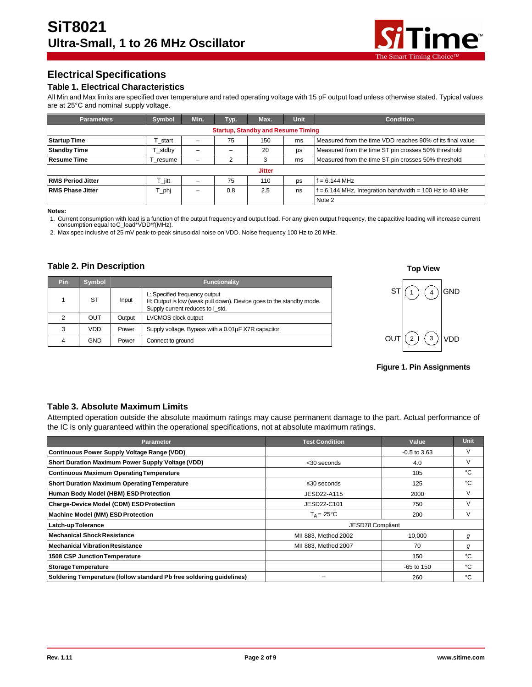

# **ElectricalSpecifications**

### **Table 1. Electrical Characteristics**

All Min and Max limits are specified over temperature and rated operating voltage with 15 pF output load unless otherwise stated. Typical values are at 25°C and nominal supply voltage.

| <b>Parameters</b>                         | Symbol   | Min. | Typ. | Max. | Unit | <b>Condition</b>                                          |  |
|-------------------------------------------|----------|------|------|------|------|-----------------------------------------------------------|--|
| <b>Startup, Standby and Resume Timing</b> |          |      |      |      |      |                                                           |  |
| <b>Startup Time</b>                       | start    |      | 75   | 150  | ms   | Measured from the time VDD reaches 90% of its final value |  |
| <b>Standby Time</b>                       | stdby    |      |      | 20   | us   | Measured from the time ST pin crosses 50% threshold       |  |
| <b>Resume Time</b>                        | T resume |      |      | 3    | ms   | Measured from the time ST pin crosses 50% threshold       |  |
| <b>Jitter</b>                             |          |      |      |      |      |                                                           |  |
| <b>RMS Period Jitter</b>                  | T_jitt   |      | 75   | 110  | DS   | f = 6.144 MHz                                             |  |
| <b>RMS Phase Jitter</b>                   | 「_phj    |      | 0.8  | 2.5  | ns   | $f = 6.144$ MHz, Integration bandwidth = 100 Hz to 40 kHz |  |
|                                           |          |      |      |      |      | Note 2                                                    |  |

**Notes:**

1. Current consumption with load is a function of the output frequency and output load. For any given output frequency, the capacitive loading will increase current consumption equal toC\_load\*VDD\*f(MHz).

2. Max spec inclusive of 25 mV peak-to-peak sinusoidal noise on VDD. Noise frequency 100 Hz to 20 MHz.

### **Table 2. Pin Description**

| <b>Pin</b>     | Symbol | <b>Functionality</b> |                                                                                                                                          |  |
|----------------|--------|----------------------|------------------------------------------------------------------------------------------------------------------------------------------|--|
|                | ST     | Input                | L: Specified frequency output<br>H: Output is low (weak pull down). Device goes to the standby mode.<br>Supply current reduces to I std. |  |
| $\overline{2}$ | OUT    | Output               | LVCMOS clock output                                                                                                                      |  |
| 3              | VDD    | Power                | Supply voltage. Bypass with a 0.01µF X7R capacitor.                                                                                      |  |
| 4              | GND    | Power                | Connect to ground                                                                                                                        |  |



**Figure 1. Pin Assignments**

### **Table 3. Absolute Maximum Limits**

Attempted operation outside the absolute maximum ratings may cause permanent damage to the part. Actual performance of the IC is only guaranteed within the operational specifications, not at absolute maximum ratings.

| <b>Parameter</b>                                                     | <b>Test Condition</b> | Value          | Unit |
|----------------------------------------------------------------------|-----------------------|----------------|------|
| Continuous Power Supply Voltage Range (VDD)                          |                       | $-0.5$ to 3.63 |      |
| Short Duration Maximum Power Supply Voltage (VDD)                    | $<$ 30 seconds        | 4.0            |      |
| <b>Continuous Maximum Operating Temperature</b>                      |                       | 105            | °C   |
| <b>Short Duration Maximum Operating Temperature</b>                  | $\leq 30$ seconds     | 125            | °C   |
| Human Body Model (HBM) ESD Protection                                | JESD22-A115           | 2000           |      |
| Charge-Device Model (CDM) ESD Protection                             | JESD22-C101           | 750            |      |
| Machine Model (MM) ESD Protection                                    | $T_A = 25^{\circ}C$   | 200            |      |
| <b>Latch-up Tolerance</b>                                            | JESD78 Compliant      |                |      |
| <b>Mechanical Shock Resistance</b>                                   | MII 883, Method 2002  | 10,000         | g    |
| <b>Mechanical Vibration Resistance</b>                               | MII 883, Method 2007  | 70             | g    |
| <b>1508 CSP Junction Temperature</b>                                 |                       | 150            | °C   |
| <b>Storage Temperature</b>                                           |                       | $-65$ to 150   | °C   |
| Soldering Temperature (follow standard Pb free soldering quidelines) |                       | 260            | °C   |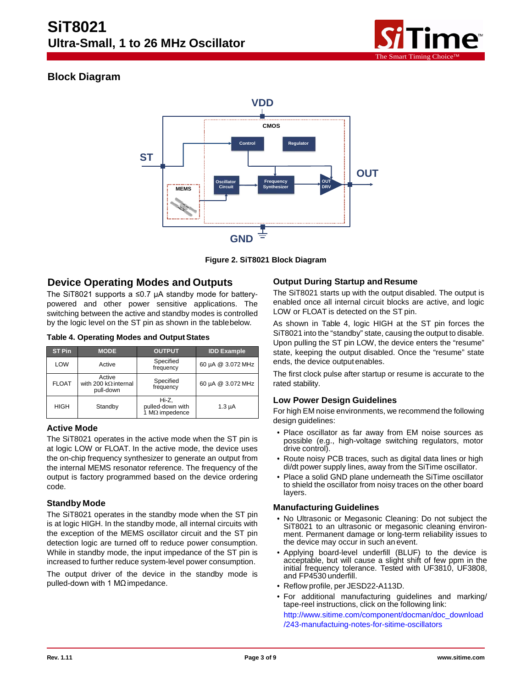

# **Block Diagram**



**Figure 2. SiT8021 Block Diagram**

## **Device Operating Modes and Outputs**

The SiT8021 supports a ≤0.7 µA standby mode for batterypowered and other power sensitive applications. The switching between the active and standby modes is controlled by the logic level on the ST pin as shown in the tablebelow.

| <b>ST Pin</b> | <b>MODE</b>                                        | <b>OUTPUT</b>                                      | <b>IDD Example</b> |
|---------------|----------------------------------------------------|----------------------------------------------------|--------------------|
| LOW           | Active                                             | Specified<br>frequency                             | 60 µA @ 3.072 MHz  |
| <b>FLOAT</b>  | Active<br>with 200 $k\Omega$ internal<br>pull-down | Specified<br>frequency                             | 60 µA @ 3.072 MHz  |
| <b>HIGH</b>   | Standby                                            | Hi-Z,<br>pulled-down with<br>1 $M\Omega$ impedence | $1.3 \mu A$        |

### **Active Mode**

The SiT8021 operates in the active mode when the ST pin is at logic LOW or FLOAT. In the active mode, the device uses the on-chip frequency synthesizer to generate an output from the internal MEMS resonator reference. The frequency of the output is factory programmed based on the device ordering code.

### **Standby Mode**

The SiT8021 operates in the standby mode when the ST pin is at logic HIGH. In the standby mode, all internal circuits with the exception of the MEMS oscillator circuit and the ST pin detection logic are turned off to reduce power consumption. While in standby mode, the input impedance of the ST pin is increased to further reduce system-level power consumption.

The output driver of the device in the standby mode is pulled-down with 1 MΩimpedance.

### **Output During Startup and Resume**

The SiT8021 starts up with the output disabled. The output is enabled once all internal circuit blocks are active, and logic LOW or FLOAT is detected on the ST pin.

As shown in Table 4, logic HIGH at the ST pin forces the SiT8021 into the "standby" state, causing the output to disable. Upon pulling the ST pin LOW, the device enters the "resume" state, keeping the output disabled. Once the "resume" state ends, the device outputenables.

The first clock pulse after startup or resume is accurate to the rated stability.

### **Low Power Design Guidelines**

For high EM noise environments, we recommend the following design guidelines:

- Place oscillator as far away from EM noise sources as possible (e.g., high-voltage switching regulators, motor drive control).
- Route noisy PCB traces, such as digital data lines or high di/dt power supply lines, away from the SiTime oscillator.
- Place a solid GND plane underneath the SiTime oscillator to shield the oscillator from noisy traces on the other board layers.

### **Manufacturing Guidelines**

- No Ultrasonic or Megasonic Cleaning: Do not subject the SiT8021 to an ultrasonic or megasonic cleaning environment. Permanent damage or long-term reliability issues to the device may occur in such an event.
- Applying board-level underfill (BLUF) to the device is acceptable, but will cause a slight shift of few ppm in the initial frequency tolerance. Tested with UF3810, UF3808, and FP4530 underfill.
- Reflow profile, per JESD22-A113D.
- For additional manufacturing guidelines and marking/ tape-reel instructions, click on the following link: [http://www.sitime.com/component/docman/doc\\_download](http://www.sitime.com/component/docman/doc_download/243-manufactuing-notes-for-sitime-oscillators)

[/243-manufactuing-notes-for-sitime-oscillators](http://www.sitime.com/component/docman/doc_download/243-manufactuing-notes-for-sitime-oscillators)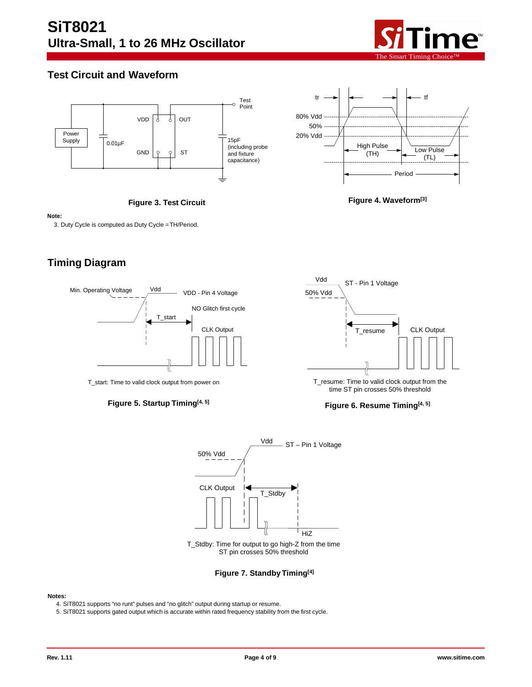

# **Test Circuit and Waveform**





**Figure 3. Test Circuit**



### **Note:**

3. Duty Cycle is computed as Duty Cycle =TH/Period.

# **Timing Diagram**



T\_start: Time to valid clock output from power on





T\_resume: Time to valid clock output from the time ST pin crosses 50% threshold

### **Figure 6. Resume Timing[4, 5]**



ST pin crosses 50% threshold

### **Figure 7. StandbyTiming[4]**

### **Notes:**

4. SiT8021 supports "no runt" pulses and "no glitch" output during startup or resume.

5. SiT8021 supports gated output which is accurate within rated frequency stability from the first cycle.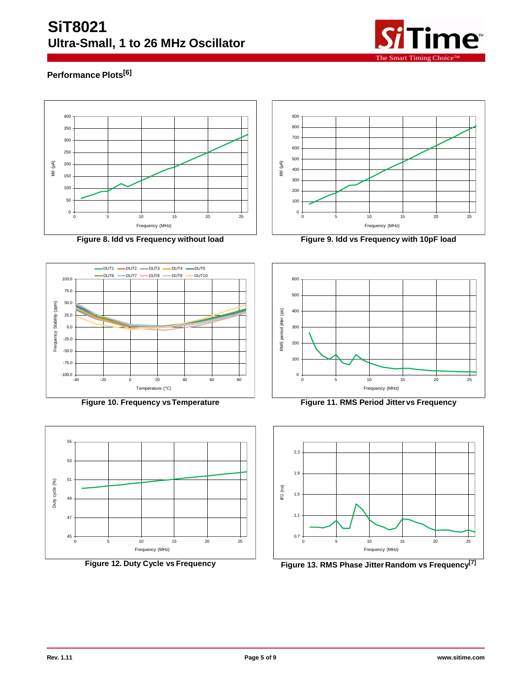

# **Performance Plots[6]**









**Figure 8. Idd vs Frequency without load Figure 9. Idd vs Frequency with 10pF load**



**Figure 10. Frequency vsTemperature Figure 11. RMS Period Jitter vs Frequency**



**Figure 12. Duty Cycle vs Frequency Figure 13. RMS Phase Jitter Random vs Frequency**<sup>[7]</sup>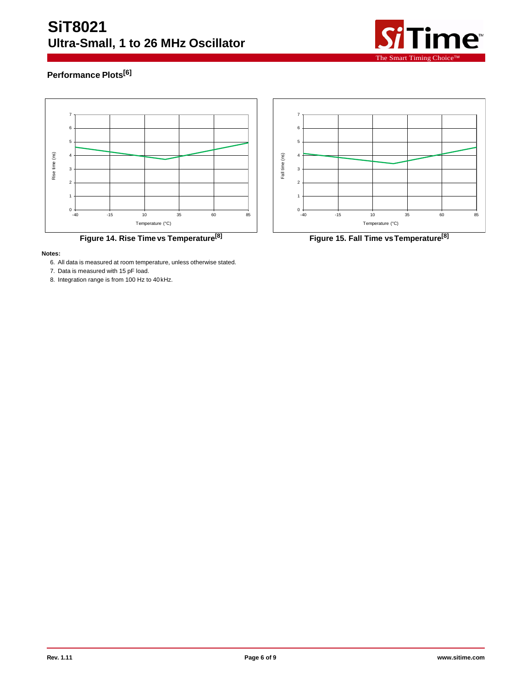# **SiT8021 Ultra-Small, 1 to 26 MHz Oscillator**



# **Performance Plots[6]**



**Figure 14. Rise Time vs Temperature[8] Figure 15. Fall Time vsTemperature[8]**

### **Notes:**

- 6. All data is measured at room temperature, unless otherwise stated.
- 7. Data is measured with 15 pF load.
- 8. Integration range is from 100 Hz to 40kHz.

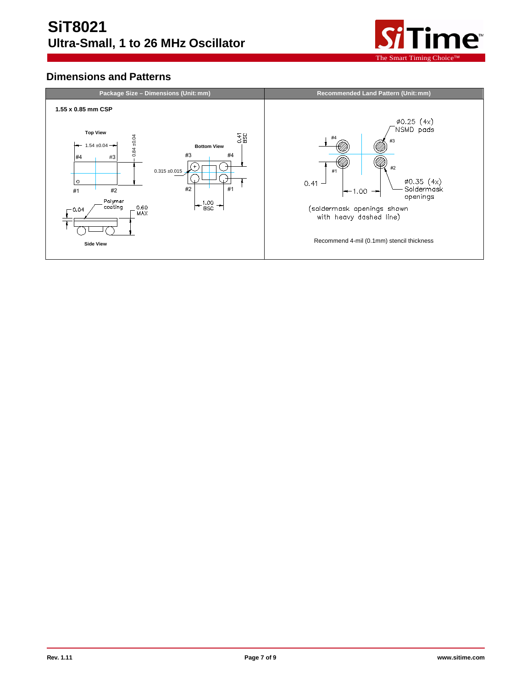

# **Dimensions and Patterns**

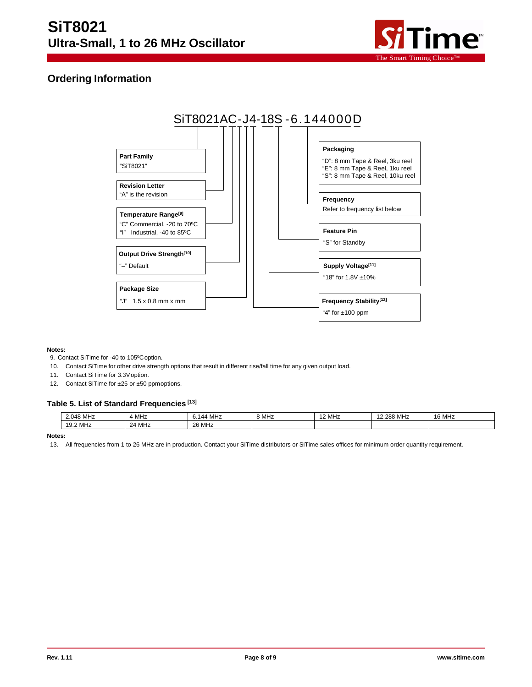

# **Ordering Information**



### **Notes:**

- 9. Contact SiTime for -40 to 105ºCoption.
- 10. Contact SiTime for other drive strength options that result in different rise/fall time for any given output load.
- 11. Contact SiTime for 3.3Voption.
- 12. Contact SiTime for ±25 or ±50 ppmoptions.

### **Table 5. List of Standard Frequencies [13]**

| 2.048 MHz | <sup>1</sup> MHz | · MHz<br>$\overline{A}$<br>0.140 | 8 MHz | 12 MHz | 12.288 MHz | 16 MHz |
|-----------|------------------|----------------------------------|-------|--------|------------|--------|
| 19.2 MHz  | 24 MHz           | 26 MHz                           |       |        |            |        |

**Notes:**

<sup>13.</sup> All frequencies from 1 to 26 MHz are in production. Contact your SiTime distributors or SiTime sales offices for minimum order quantity requirement.